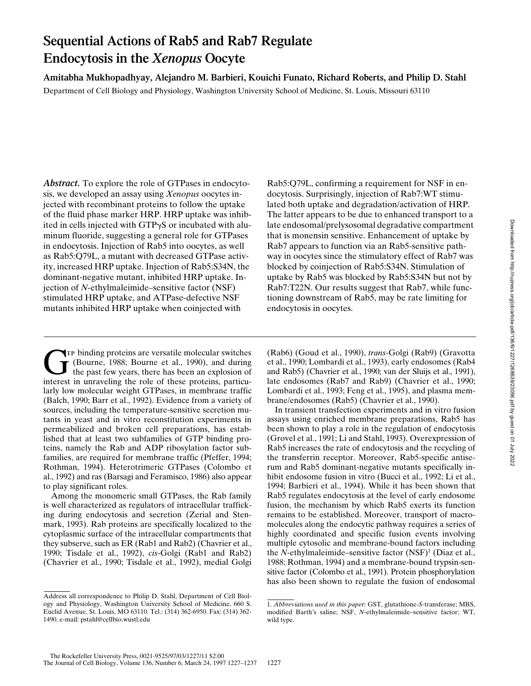# **Sequential Actions of Rab5 and Rab7 Regulate Endocytosis in the** *Xenopus* **Oocyte**

**Amitabha Mukhopadhyay, Alejandro M. Barbieri, Kouichi Funato, Richard Roberts, and Philip D. Stahl** Department of Cell Biology and Physiology, Washington University School of Medicine, St. Louis, Missouri 63110

*Abstract.* To explore the role of GTPases in endocytosis, we developed an assay using *Xenopus* oocytes injected with recombinant proteins to follow the uptake of the fluid phase marker HRP. HRP uptake was inhibited in cells injected with  $GTP\gamma S$  or incubated with aluminum fluoride, suggesting a general role for GTPases in endocytosis. Injection of Rab5 into oocytes, as well as Rab5:Q79L, a mutant with decreased GTPase activity, increased HRP uptake. Injection of Rab5:S34N, the dominant-negative mutant, inhibited HRP uptake. Injection of *N*-ethylmaleimide–sensitive factor (NSF) stimulated HRP uptake, and ATPase-defective NSF mutants inhibited HRP uptake when coinjected with

Rab5:Q79L, confirming a requirement for NSF in endocytosis. Surprisingly, injection of Rab7:WT stimulated both uptake and degradation/activation of HRP. The latter appears to be due to enhanced transport to a late endosomal/prelysosomal degradative compartment that is monensin sensitive. Enhancement of uptake by Rab7 appears to function via an Rab5-sensitive pathway in oocytes since the stimulatory effect of Rab7 was blocked by coinjection of Rab5:S34N. Stimulation of uptake by Rab5 was blocked by Rab5:S34N but not by Rab7:T22N. Our results suggest that Rab7, while functioning downstream of Rab5, may be rate limiting for endocytosis in oocytes.

Tr binding proteins are versatile molecular switches<br>(Bourne, 1988; Bourne et al., 1990), and during<br>the past few years, there has been an explosion of<br>interest in unraveling the role of these proteins particu-(Bourne, 1988; Bourne et al., 1990), and during the past few years, there has been an explosion of interest in unraveling the role of these proteins, particularly low molecular weight GTPases, in membrane traffic (Balch, 1990; Barr et al., 1992). Evidence from a variety of sources, including the temperature-sensitive secretion mutants in yeast and in vitro reconstitution experiments in permeabilized and broken cell preparations, has established that at least two subfamilies of GTP binding proteins, namely the Rab and ADP ribosylation factor subfamilies, are required for membrane traffic (Pfeffer, 1994; Rothman, 1994). Heterotrimeric GTPases (Colombo et al., 1992) and ras (Barsagi and Feramisco, 1986) also appear to play significant roles.

Among the monomeric small GTPases, the Rab family is well characterized as regulators of intracellular trafficking during endocytosis and secretion (Zerial and Stenmark, 1993). Rab proteins are specifically localized to the cytoplasmic surface of the intracellular compartments that they subserve, such as ER (Rab1 and Rab2) (Chavrier et al., 1990; Tisdale et al., 1992), *cis*-Golgi (Rab1 and Rab2) (Chavrier et al., 1990; Tisdale et al., 1992), medial Golgi (Rab6) (Goud et al., 1990), *trans*-Golgi (Rab9) (Gravotta et al., 1990; Lombardi et al., 1993), early endosomes (Rab4 and Rab5) (Chavrier et al., 1990; van der Sluijs et al., 1991), late endosomes (Rab7 and Rab9) (Chavrier et al., 1990; Lombardi et al., 1993; Feng et al., 1995), and plasma membrane/endosomes (Rab5) (Chavrier et al., 1990).

In transient transfection experiments and in vitro fusion assays using enriched membrane preparations, Rab5 has been shown to play a role in the regulation of endocytosis (Grovel et al., 1991; Li and Stahl, 1993). Overexpression of Rab5 increases the rate of endocytosis and the recycling of the transferrin receptor. Moreover, Rab5-specific antiserum and Rab5 dominant-negative mutants specifically inhibit endosome fusion in vitro (Bucci et al., 1992; Li et al., 1994; Barbieri et al., 1994). While it has been shown that Rab5 regulates endocytosis at the level of early endosome fusion, the mechanism by which Rab5 exerts its function remains to be established. Moreover, transport of macromolecules along the endocytic pathway requires a series of highly coordinated and specific fusion events involving multiple cytosolic and membrane-bound factors including the *N*-ethylmaleimide–sensitive factor (NSF)<sup>1</sup> (Diaz et al., 1988; Rothman, 1994) and a membrane-bound trypsin-sensitive factor (Colombo et al., 1991). Protein phosphorylation has also been shown to regulate the fusion of endosomal

Address all correspondence to Philip D. Stahl, Department of Cell Biology and Physiology, Washington University School of Medicine, 660 S. Euclid Avenue, St. Louis, MO 63110. Tel.: (314) 362-6950. Fax: (314) 362- 1490. e-mail: pstahl@cellbio.wustl.edu

<sup>1.</sup> *Abbreviations used in this paper*: GST, glutathione-*S*-transferase; MBS, modified Barth's saline; NSF, *N*-ethylmaleimide–sensitive factor; WT, wild type.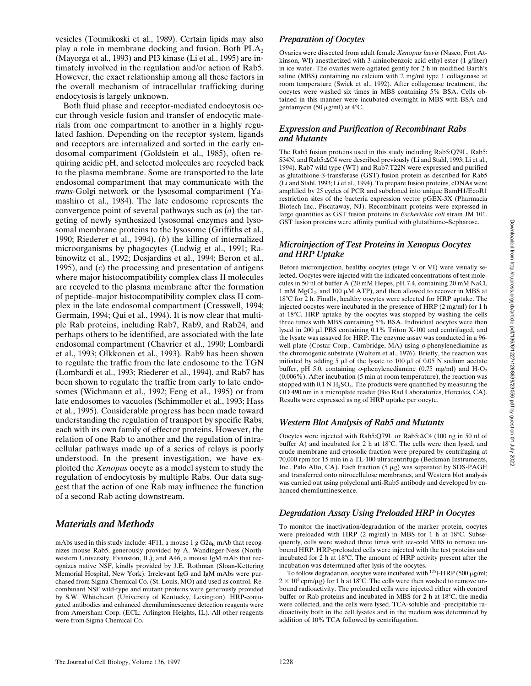vesicles (Toumikoski et al., 1989). Certain lipids may also play a role in membrane docking and fusion. Both  $PLA<sub>2</sub>$ (Mayorga et al., 1993) and PI3 kinase (Li et al., 1995) are intimately involved in the regulation and/or action of Rab5. However, the exact relationship among all these factors in the overall mechanism of intracellular trafficking during endocytosis is largely unknown.

Both fluid phase and receptor-mediated endocytosis occur through vesicle fusion and transfer of endocytic materials from one compartment to another in a highly regulated fashion. Depending on the receptor system, ligands and receptors are internalized and sorted in the early endosomal compartment (Goldstein et al., 1985), often requiring acidic pH, and selected molecules are recycled back to the plasma membrane. Some are transported to the late endosomal compartment that may communicate with the *trans*-Golgi network or the lysosomal compartment (Yamashiro et al., 1984). The late endosome represents the convergence point of several pathways such as (*a*) the targeting of newly synthesized lysosomal enzymes and lysosomal membrane proteins to the lysosome (Griffiths et al., 1990; Riederer et al., 1994), (*b*) the killing of internalized microorganisms by phagocytes (Ludwig et al., 1991; Rabinowitz et al., 1992; Desjardins et al., 1994; Beron et al., 1995), and (*c*) the processing and presentation of antigens where major histocompatibility complex class II molecules are recycled to the plasma membrane after the formation of peptide–major histocompatibility complex class II complex in the late endosomal compartment (Cresswell, 1994; Germain, 1994; Qui et al., 1994). It is now clear that multiple Rab proteins, including Rab7, Rab9, and Rab24, and perhaps others to be identified, are associated with the late endosomal compartment (Chavrier et al., 1990; Lombardi et al., 1993; Olkkonen et al., 1993). Rab9 has been shown to regulate the traffic from the late endosome to the TGN (Lombardi et al., 1993; Riederer et al., 1994), and Rab7 has been shown to regulate the traffic from early to late endosomes (Wichmann et al., 1992; Feng et al., 1995) or from late endosomes to vacuoles (Schimmoller et al., 1993; Hass et al., 1995). Considerable progress has been made toward understanding the regulation of transport by specific Rabs, each with its own family of effector proteins. However, the relation of one Rab to another and the regulation of intracellular pathways made up of a series of relays is poorly understood. In the present investigation, we have exploited the *Xenopus* oocyte as a model system to study the regulation of endocytosis by multiple Rabs. Our data suggest that the action of one Rab may influence the function of a second Rab acting downstream.

# *Materials and Methods*

mAbs used in this study include: 4F11, a mouse 1 g  $G2a<sub>K</sub>$  mAb that recognizes mouse Rab5, generously provided by A. Wandinger-Ness (Northwestern University, Evanston, IL), and A46, a mouse IgM mAb that recognizes native NSF, kindly provided by J.E. Rothman (Sloan-Kettering Memorial Hospital, New York). Irrelevant IgG and IgM mAbs were purchased from Sigma Chemical Co. (St. Louis, MO) and used as control. Recombinant NSF wild-type and mutant proteins were generously provided by S.W. Whiteheart (University of Kentucky, Lexington). HRP-conjugated antibodies and enhanced chemiluminescence detection reagents were from Amersham Corp. (ECL; Arlington Heights, IL). All other reagents were from Sigma Chemical Co.

#### *Preparation of Oocytes*

Ovaries were dissected from adult female *Xenopus laevis* (Nasco, Fort Atkinson, WI) anesthetized with 3-aminobenzoic acid ethyl ester (1 g/liter) in ice water. The ovaries were agitated gently for 2 h in modified Barth's saline (MBS) containing no calcium with 2 mg/ml type 1 collagenase at room temperature (Swick et al., 1992). After collagenase treatment, the oocytes were washed six times in MBS containing 5% BSA. Cells obtained in this manner were incubated overnight in MBS with BSA and gentamycin (50  $\mu$ g/ml) at 4°C.

### *Expression and Purification of Recombinant Rabs and Mutants*

The Rab5 fusion proteins used in this study including Rab5:Q79L, Rab5: S34N, and Rab5: $\Delta$ C4 were described previously (Li and Stahl, 1993; Li et al., 1994). Rab7 wild type (WT) and Rab7:T22N were expressed and purified as glutathione-*S*-transferase (GST) fusion protein as described for Rab5 (Li and Stahl, 1993; Li et al., 1994). To prepare fusion proteins, cDNAs were amplified by 25 cycles of PCR and subcloned into unique BamH1/EcoR1 restriction sites of the bacteria expression vector pGEX-3X (Pharmacia Biotech Inc., Piscataway, NJ). Recombinant proteins were expressed in large quantities as GST fusion proteins in *Escherichia coli* strain JM 101. GST fusion proteins were affinity purified with glutathione–Sepharose.

#### *Microinjection of Test Proteins in Xenopus Oocytes and HRP Uptake*

Before microinjection, healthy oocytes (stage V or VI) were visually selected. Oocytes were injected with the indicated concentrations of test molecules in 50 nl of buffer A (20 mM Hepes, pH 7.4, containing 20 mM NaCl, 1 mM MgCl<sub>2</sub>, and 100  $\mu$ M ATP), and then allowed to recover in MBS at 18°C for 2 h. Finally, healthy oocytes were selected for HRP uptake. The injected oocytes were incubated in the presence of HRP (2 mg/ml) for 1 h at  $18^{\circ}$ C. HRP uptake by the oocytes was stopped by washing the cells three times with MBS containing 5% BSA. Individual oocytes were then lysed in 200  $\mu$ l PBS containing 0.1% Triton X-100 and centrifuged, and the lysate was assayed for HRP. The enzyme assay was conducted in a 96 well plate (Costar Corp., Cambridge, MA) using o-phenylenediamine as the chromogenic substrate (Wolters et al., 1976). Briefly, the reaction was initiated by adding 5  $\mu$ l of the lysate to 100  $\mu$ l of 0.05 N sodium acetate buffer, pH 5.0, containing o-phenylenediamine  $(0.75 \text{ mg/ml})$  and  $H_2O_2$ (0.006%). After incubation (5 min at room temperature), the reaction was stopped with  $0.1$  N H<sub>2</sub>SO<sub>4</sub>. The products were quantified by measuring the OD 490 nm in a microplate reader (Bio Rad Laboratories, Hercules, CA). Results were expressed as ng of HRP uptake per oocyte.

#### *Western Blot Analysis of Rab5 and Mutants*

Oocytes were injected with Rab5:Q79L or Rab5: $\Delta$ C4 (100 ng in 50 nl of buffer A) and incubated for 2 h at  $18^{\circ}$ C. The cells were then lysed, and crude membrane and cytosolic fraction were prepared by centrifuging at 70,000 rpm for 15 min in a TL-100 ultracentrifuge (Beckman Instruments, Inc., Palo Alto, CA). Each fraction  $(5 \mu g)$  was separated by SDS-PAGE and transferred onto nitrocellulose membranes, and Western blot analysis was carried out using polyclonal anti-Rab5 antibody and developed by enhanced chemiluminescence.

#### *Degradation Assay Using Preloaded HRP in Oocytes*

To monitor the inactivation/degradation of the marker protein, oocytes were preloaded with HRP (2 mg/ml) in MBS for 1 h at  $18^{\circ}$ C. Subsequently, cells were washed three times with ice-cold MBS to remove unbound HRP. HRP-preloaded cells were injected with the test proteins and incubated for 2 h at 18°C. The amount of HRP activity present after the incubation was determined after lysis of the oocytes.

To follow degradation, oocytes were incubated with  $^{125}$ I-HRP (500  $\mu$ g/ml;  $2 \times 10^5$  cpm/ $\mu$ g) for 1 h at 18°C. The cells were then washed to remove unbound radioactivity. The preloaded cells were injected either with control buffer or Rab proteins and incubated in MBS for 2 h at 18°C, the media were collected, and the cells were lysed. TCA-soluble and -precipitable radioactivity both in the cell lysates and in the medium was determined by addition of 10% TCA followed by centrifugation.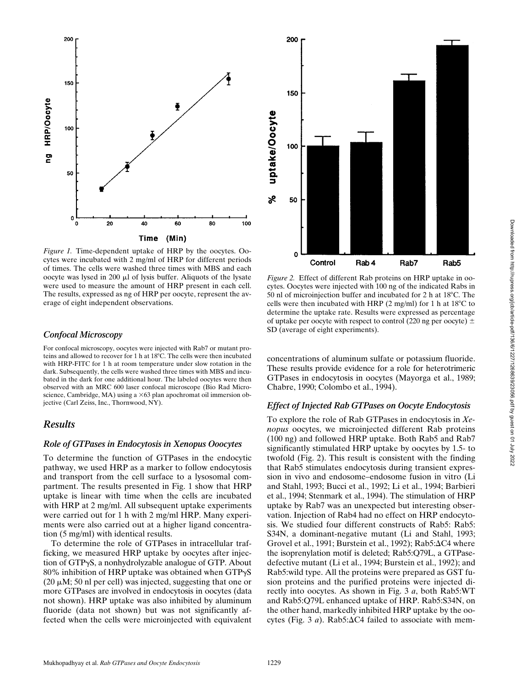

*Figure 1.* Time-dependent uptake of HRP by the oocytes. Oocytes were incubated with 2 mg/ml of HRP for different periods of times. The cells were washed three times with MBS and each oocyte was lysed in 200 µl of lysis buffer. Aliquots of the lysate were used to measure the amount of HRP present in each cell. The results, expressed as ng of HRP per oocyte, represent the average of eight independent observations.

#### *Confocal Microscopy*

For confocal microscopy, oocytes were injected with Rab7 or mutant proteins and allowed to recover for 1 h at 18°C. The cells were then incubated with HRP-FITC for 1 h at room temperature under slow rotation in the dark. Subsequently, the cells were washed three times with MBS and incubated in the dark for one additional hour. The labeled oocytes were then observed with an MRC 600 laser confocal microscope (Bio Rad Microscience, Cambridge, MA) using a  $\times 63$  plan apochromat oil immersion objective (Carl Zeiss, Inc., Thornwood, NY).

# *Results*

#### *Role of GTPases in Endocytosis in Xenopus Ooocytes*

To determine the function of GTPases in the endocytic pathway, we used HRP as a marker to follow endocytosis and transport from the cell surface to a lysosomal compartment. The results presented in Fig. 1 show that HRP uptake is linear with time when the cells are incubated with HRP at 2 mg/ml. All subsequent uptake experiments were carried out for 1 h with 2 mg/ml HRP. Many experiments were also carried out at a higher ligand concentration (5 mg/ml) with identical results.

To determine the role of GTPases in intracellular trafficking, we measured HRP uptake by oocytes after injection of GTP $\gamma$ S, a nonhydrolyzable analogue of GTP. About 80% inhibition of HRP uptake was obtained when  $GTP\gamma S$ (20  $\mu$ M; 50 nl per cell) was injected, suggesting that one or more GTPases are involved in endocytosis in oocytes (data not shown). HRP uptake was also inhibited by aluminum fluoride (data not shown) but was not significantly affected when the cells were microinjected with equivalent



*Figure 2.* Effect of different Rab proteins on HRP uptake in oocytes. Oocytes were injected with 100 ng of the indicated Rabs in 50 nl of microinjection buffer and incubated for 2 h at  $18^{\circ}$ C. The cells were then incubated with HRP  $(2 \text{ mg/ml})$  for 1 h at  $18^{\circ}$ C to determine the uptake rate. Results were expressed as percentage of uptake per oocyte with respect to control (220 ng per oocyte)  $\pm$ SD (average of eight experiments).

concentrations of aluminum sulfate or potassium fluoride. These results provide evidence for a role for heterotrimeric GTPases in endocytosis in oocytes (Mayorga et al., 1989; Chabre, 1990; Colombo et al., 1994).

#### *Effect of Injected Rab GTPases on Oocyte Endocytosis*

To explore the role of Rab GTPases in endocytosis in *Xenopus* oocytes, we microinjected different Rab proteins (100 ng) and followed HRP uptake. Both Rab5 and Rab7 significantly stimulated HRP uptake by oocytes by 1.5- to twofold (Fig. 2). This result is consistent with the finding that Rab5 stimulates endocytosis during transient expression in vivo and endosome–endosome fusion in vitro (Li and Stahl, 1993; Bucci et al., 1992; Li et al., 1994; Barbieri et al., 1994; Stenmark et al., 1994). The stimulation of HRP uptake by Rab7 was an unexpected but interesting observation. Injection of Rab4 had no effect on HRP endocytosis. We studied four different constructs of Rab5: Rab5: S34N, a dominant-negative mutant (Li and Stahl, 1993; Grovel et al., 1991; Burstein et al., 1992); Rab5: $\Delta$ C4 where the isoprenylation motif is deleted; Rab5:Q79L, a GTPasedefective mutant (Li et al., 1994; Burstein et al., 1992); and Rab5:wild type. All the proteins were prepared as GST fusion proteins and the purified proteins were injected directly into oocytes. As shown in Fig. 3 *a*, both Rab5:WT and Rab5:Q79L enhanced uptake of HRP. Rab5:S34N, on the other hand, markedly inhibited HRP uptake by the oocytes (Fig. 3  $a$ ). Rab5: $\Delta$ C4 failed to associate with mem-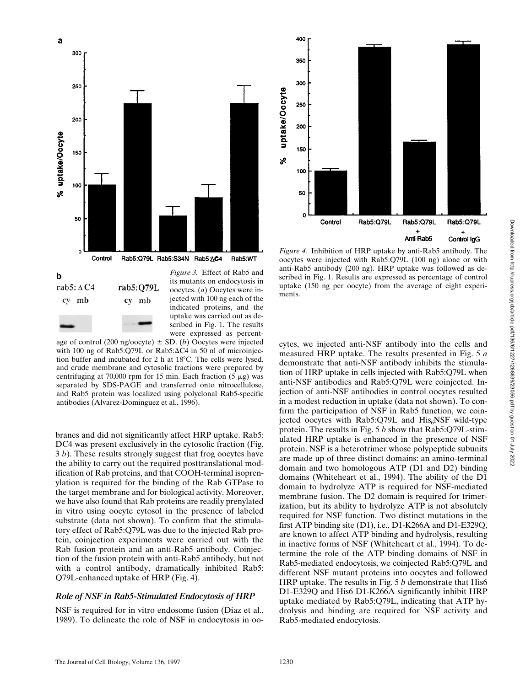

age of control (200 ng/oocyte)  $\pm$  SD. (*b*) Oocytes were injected with 100 ng of Rab5:Q79L or Rab5: $\Delta$ C4 in 50 nl of microinjection buffer and incubated for  $2 h$  at  $18^{\circ}$ C. The cells were lysed, and crude membrane and cytosolic fractions were prepared by centrifuging at 70,000 rpm for 15 min. Each fraction  $(5 \mu g)$  was separated by SDS-PAGE and transferred onto nitrocellulose, and Rab5 protein was localized using polyclonal Rab5-specific antibodies (Alvarez-Dominguez et al., 1996).

were expressed as percent-

branes and did not significantly affect HRP uptake. Rab5: DC4 was present exclusively in the cytosolic fraction (Fig. 3 *b*). These results strongly suggest that frog oocytes have the ability to carry out the required posttranslational modification of Rab proteins, and that COOH-terminal isoprenylation is required for the binding of the Rab GTPase to the target membrane and for biological activity. Moreover, we have also found that Rab proteins are readily prenylated in vitro using oocyte cytosol in the presence of labeled substrate (data not shown). To confirm that the stimulatory effect of Rab5:Q79L was due to the injected Rab protein, coinjection experiments were carried out with the Rab fusion protein and an anti-Rab5 antibody. Coinjection of the fusion protein with anti-Rab5 antibody, but not with a control antibody, dramatically inhibited Rab5: Q79L-enhanced uptake of HRP (Fig. 4).

# *Role of NSF in Rab5-Stimulated Endocytosis of HRP*

NSF is required for in vitro endosome fusion (Diaz et al., 1989). To delineate the role of NSF in endocytosis in oo-



*Figure 4.* Inhibition of HRP uptake by anti-Rab5 antibody. The oocytes were injected with Rab5:Q79L (100 ng) alone or with anti-Rab5 antibody (200 ng). HRP uptake was followed as described in Fig. 1. Results are expressed as percentage of control uptake (150 ng per oocyte) from the average of eight experiments.

cytes, we injected anti-NSF antibody into the cells and measured HRP uptake. The results presented in Fig. 5 *a* demonstrate that anti-NSF antibody inhibits the stimulation of HRP uptake in cells injected with Rab5:Q79L when anti-NSF antibodies and Rab5:Q79L were coinjected. Injection of anti-NSF antibodies in control oocytes resulted in a modest reduction in uptake (data not shown). To confirm the participation of NSF in Rab5 function, we coinjected oocytes with  $Rab5:Q79L$  and  $His<sub>6</sub>NSF$  wild-type protein. The results in Fig. 5 *b* show that Rab5:Q79L-stimulated HRP uptake is enhanced in the presence of NSF protein. NSF is a heterotrimer whose polypeptide subunits are made up of three distinct domains: an amino-terminal domain and two homologous ATP (D1 and D2) binding domains (Whiteheart et al., 1994). The ability of the D1 domain to hydrolyze ATP is required for NSF-mediated membrane fusion. The D2 domain is required for trimerization, but its ability to hydrolyze ATP is not absolutely required for NSF function. Two distinct mutations in the first ATP binding site (D1), i.e., D1-K266A and D1-E329Q, are known to affect ATP binding and hydrolysis, resulting in inactive forms of NSF (Whiteheart et al., 1994). To determine the role of the ATP binding domains of NSF in Rab5-mediated endocytosis, we coinjected Rab5:Q79L and different NSF mutant proteins into oocytes and followed HRP uptake. The results in Fig. 5 *b* demonstrate that His6 D1-E329Q and His6 D1-K266A significantly inhibit HRP uptake mediated by Rab5:Q79L, indicating that ATP hydrolysis and binding are required for NSF activity and Rab5-mediated endocytosis.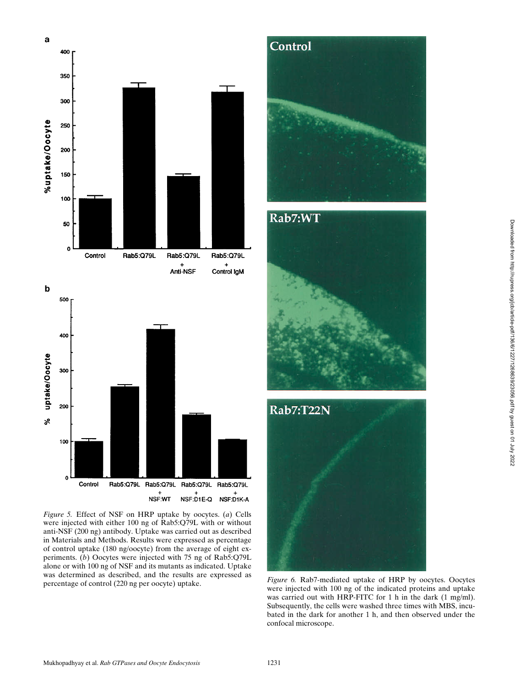

*Figure 5.* Effect of NSF on HRP uptake by oocytes. (*a*) Cells were injected with either 100 ng of Rab5:Q79L with or without anti-NSF (200 ng) antibody. Uptake was carried out as described in Materials and Methods. Results were expressed as percentage of control uptake (180 ng/oocyte) from the average of eight experiments. (*b*) Oocytes were injected with 75 ng of Rab5:Q79L alone or with 100 ng of NSF and its mutants as indicated. Uptake was determined as described, and the results are expressed as was determined as described, and the results are expressed as *Figure 6.* Rab7-mediated uptake of HRP by oocytes. Oocytes percentage of control (220 ng per oocyte) uptake.







were injected with 100 ng of the indicated proteins and uptake was carried out with HRP-FITC for 1 h in the dark (1 mg/ml). Subsequently, the cells were washed three times with MBS, incubated in the dark for another 1 h, and then observed under the confocal microscope.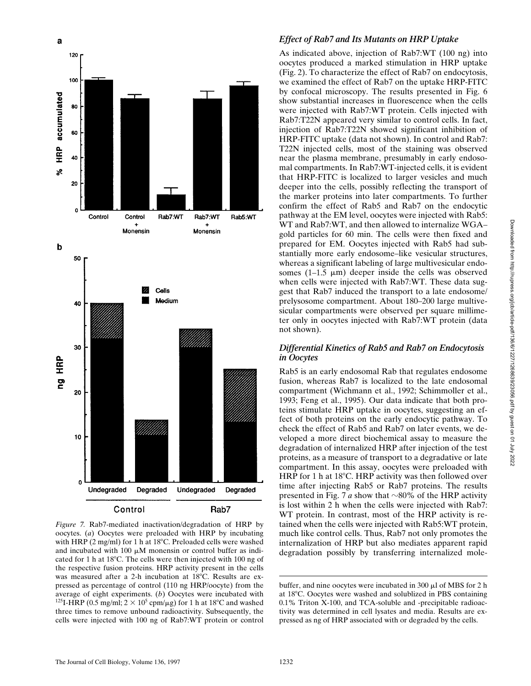

*Figure 7.* Rab7-mediated inactivation/degradation of HRP by oocytes. (*a*) Oocytes were preloaded with HRP by incubating with HRP (2 mg/ml) for 1 h at 18 $^{\circ}$ C. Preloaded cells were washed and incubated with 100  $\mu$ M monensin or control buffer as indicated for 1 h at  $18^{\circ}$ C. The cells were then injected with 100 ng of the respective fusion proteins. HRP activity present in the cells was measured after a 2-h incubation at 18°C. Results are expressed as percentage of control (110 ng HRP/oocyte) from the average of eight experiments. (*b*) Oocytes were incubated with <sup>125</sup>I-HRP (0.5 mg/ml;  $2 \times 10^5$  cpm/ $\mu$ g) for 1 h at 18<sup>o</sup>C and washed three times to remove unbound radioactivity. Subsequently, the cells were injected with 100 ng of Rab7:WT protein or control

#### *Effect of Rab7 and Its Mutants on HRP Uptake*

As indicated above, injection of Rab7:WT (100 ng) into oocytes produced a marked stimulation in HRP uptake (Fig. 2). To characterize the effect of Rab7 on endocytosis, we examined the effect of Rab7 on the uptake HRP-FITC by confocal microscopy. The results presented in Fig. 6 show substantial increases in fluorescence when the cells were injected with Rab7:WT protein. Cells injected with Rab7:T22N appeared very similar to control cells. In fact, injection of Rab7:T22N showed significant inhibition of HRP-FITC uptake (data not shown). In control and Rab7: T22N injected cells, most of the staining was observed near the plasma membrane, presumably in early endosomal compartments. In Rab7:WT-injected cells, it is evident that HRP-FITC is localized to larger vesicles and much deeper into the cells, possibly reflecting the transport of the marker proteins into later compartments. To further confirm the effect of Rab5 and Rab7 on the endocytic pathway at the EM level, oocytes were injected with Rab5: WT and Rab7:WT, and then allowed to internalize WGA– gold particles for 60 min. The cells were then fixed and prepared for EM. Oocytes injected with Rab5 had substantially more early endosome–like vesicular structures, whereas a significant labeling of large multivesicular endosomes (1–1.5  $\mu$ m) deeper inside the cells was observed when cells were injected with Rab7:WT. These data suggest that Rab7 induced the transport to a late endosome/ prelysosome compartment. About 180–200 large multivesicular compartments were observed per square millimeter only in oocytes injected with Rab7:WT protein (data not shown).

#### *Differential Kinetics of Rab5 and Rab7 on Endocytosis in Oocytes*

Rab5 is an early endosomal Rab that regulates endosome fusion, whereas Rab7 is localized to the late endosomal compartment (Wichmann et al., 1992; Schimmoller et al., 1993; Feng et al., 1995). Our data indicate that both proteins stimulate HRP uptake in oocytes, suggesting an effect of both proteins on the early endocytic pathway. To check the effect of Rab5 and Rab7 on later events, we developed a more direct biochemical assay to measure the degradation of internalized HRP after injection of the test proteins, as a measure of transport to a degradative or late compartment. In this assay, oocytes were preloaded with HRP for 1 h at  $18^{\circ}$ C. HRP activity was then followed over time after injecting Rab5 or Rab7 proteins. The results presented in Fig. 7 *a* show that  $\sim$ 80% of the HRP activity is lost within 2 h when the cells were injected with Rab7: WT protein. In contrast, most of the HRP activity is retained when the cells were injected with Rab5:WT protein, much like control cells. Thus, Rab7 not only promotes the internalization of HRP but also mediates apparent rapid degradation possibly by transferring internalized mole-

buffer, and nine oocytes were incubated in 300  $\mu$ l of MBS for 2 h at 18°C. Oocytes were washed and solublized in PBS containing 0.1% Triton X-100, and TCA-soluble and -precipitable radioactivity was determined in cell lysates and media. Results are expressed as ng of HRP associated with or degraded by the cells.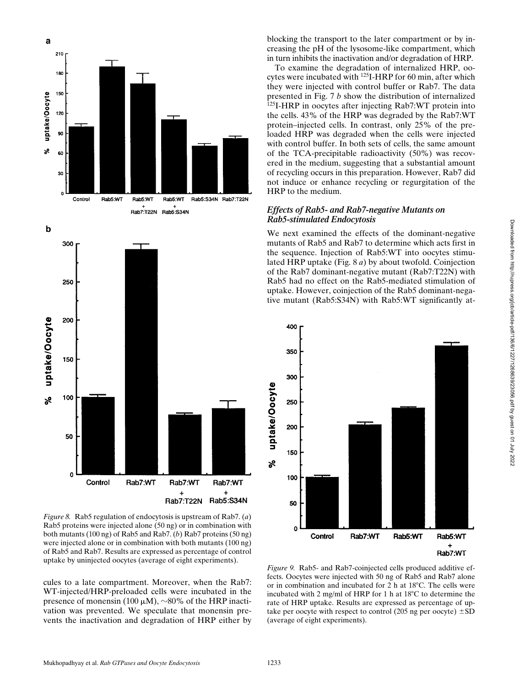

*Figure 8.* Rab5 regulation of endocytosis is upstream of Rab7. (*a*) Rab5 proteins were injected alone (50 ng) or in combination with both mutants (100 ng) of Rab5 and Rab7. (*b*) Rab7 proteins (50 ng) were injected alone or in combination with both mutants (100 ng) of Rab5 and Rab7. Results are expressed as percentage of control uptake by uninjected oocytes (average of eight experiments).

cules to a late compartment. Moreover, when the Rab7: WT-injected/HRP-preloaded cells were incubated in the presence of monensin (100  $\mu$ M),  $\sim$ 80% of the HRP inactivation was prevented. We speculate that monensin prevents the inactivation and degradation of HRP either by

blocking the transport to the later compartment or by increasing the pH of the lysosome-like compartment, which in turn inhibits the inactivation and/or degradation of HRP.

To examine the degradation of internalized HRP, oocytes were incubated with <sup>125</sup>I-HRP for 60 min, after which they were injected with control buffer or Rab7. The data presented in Fig. 7 *b* show the distribution of internalized <sup>125</sup>I-HRP in oocytes after injecting Rab7:WT protein into the cells. 43% of the HRP was degraded by the Rab7:WT protein–injected cells. In contrast, only 25% of the preloaded HRP was degraded when the cells were injected with control buffer. In both sets of cells, the same amount of the TCA-precipitable radioactivity (50%) was recovered in the medium, suggesting that a substantial amount of recycling occurs in this preparation. However, Rab7 did not induce or enhance recycling or regurgitation of the HRP to the medium.

## *Effects of Rab5- and Rab7-negative Mutants on Rab5-stimulated Endocytosis*

We next examined the effects of the dominant-negative mutants of Rab5 and Rab7 to determine which acts first in the sequence. Injection of Rab5:WT into oocytes stimulated HRP uptake (Fig. 8 *a*) by about twofold. Coinjection of the Rab7 dominant-negative mutant (Rab7:T22N) with Rab5 had no effect on the Rab5-mediated stimulation of uptake. However, coinjection of the Rab5 dominant-negative mutant (Rab5:S34N) with Rab5:WT significantly at-



*Figure 9.* Rab5- and Rab7-coinjected cells produced additive effects. Oocytes were injected with 50 ng of Rab5 and Rab7 alone or in combination and incubated for 2 h at  $18^{\circ}$ C. The cells were incubated with 2 mg/ml of HRP for 1 h at  $18^{\circ}$ C to determine the rate of HRP uptake. Results are expressed as percentage of uptake per oocyte with respect to control (205 ng per oocyte)  $\pm SD$ (average of eight experiments).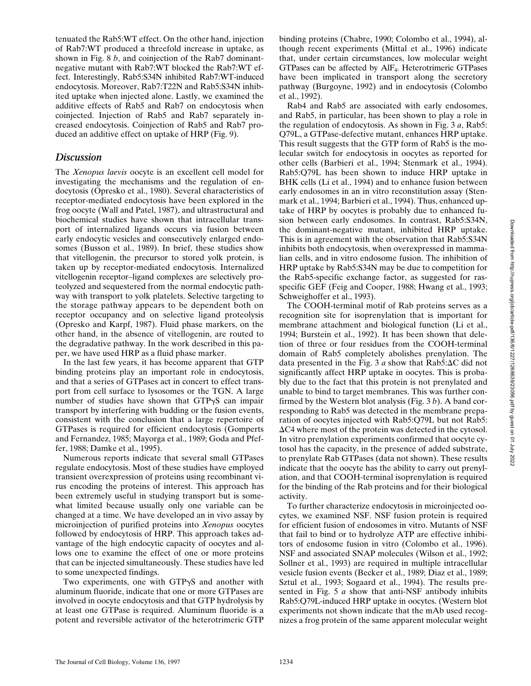tenuated the Rab5:WT effect. On the other hand, injection of Rab7:WT produced a threefold increase in uptake, as shown in Fig. 8 *b*, and coinjection of the Rab7 dominantnegative mutant with Rab7:WT blocked the Rab7:WT effect. Interestingly, Rab5:S34N inhibited Rab7:WT-induced endocytosis. Moreover, Rab7:T22N and Rab5:S34N inhibited uptake when injected alone. Lastly, we examined the additive effects of Rab5 and Rab7 on endocytosis when coinjected. Injection of Rab5 and Rab7 separately increased endocytosis. Coinjection of Rab5 and Rab7 produced an additive effect on uptake of HRP (Fig. 9).

# *Discussion*

The *Xenopus laevis* oocyte is an excellent cell model for investigating the mechanisms and the regulation of endocytosis (Opresko et al., 1980). Several characteristics of receptor-mediated endocytosis have been explored in the frog oocyte (Wall and Patel, 1987), and ultrastructural and biochemical studies have shown that intracellular transport of internalized ligands occurs via fusion between early endocytic vesicles and consecutively enlarged endosomes (Busson et al., 1989). In brief, these studies show that vitellogenin, the precursor to stored yolk protein, is taken up by receptor-mediated endocytosis. Internalized vitellogenin receptor–ligand complexes are selectively proteolyzed and sequestered from the normal endocytic pathway with transport to yolk platelets. Selective targeting to the storage pathway appears to be dependent both on receptor occupancy and on selective ligand proteolysis (Opresko and Karpf, 1987). Fluid phase markers, on the other hand, in the absence of vitellogenin, are routed to the degradative pathway. In the work described in this paper, we have used HRP as a fluid phase marker.

In the last few years, it has become apparent that GTP binding proteins play an important role in endocytosis, and that a series of GTPases act in concert to effect transport from cell surface to lysosomes or the TGN. A large number of studies have shown that  $GTP\gamma S$  can impair transport by interfering with budding or the fusion events, consistent with the conclusion that a large repertoire of GTPases is required for efficient endocytosis (Gomperts and Fernandez, 1985; Mayorga et al., 1989; Goda and Pfeffer, 1988; Damke et al., 1995).

Numerous reports indicate that several small GTPases regulate endocytosis. Most of these studies have employed transient overexpression of proteins using recombinant virus encoding the proteins of interest. This approach has been extremely useful in studying transport but is somewhat limited because usually only one variable can be changed at a time. We have developed an in vivo assay by microinjection of purified proteins into *Xenopus* oocytes followed by endocytosis of HRP. This approach takes advantage of the high endocytic capacity of oocytes and allows one to examine the effect of one or more proteins that can be injected simultaneously. These studies have led to some unexpected findings.

Two experiments, one with  $GTP\gamma S$  and another with aluminum fluoride, indicate that one or more GTPases are involved in oocyte endocytosis and that GTP hydrolysis by at least one GTPase is required. Aluminum fluoride is a potent and reversible activator of the heterotrimeric GTP binding proteins (Chabre, 1990; Colombo et al., 1994), although recent experiments (Mittal et al., 1996) indicate that, under certain circumstances, low molecular weight GTPases can be affected by AlF4. Heterotrimeric GTPases have been implicated in transport along the secretory pathway (Burgoyne, 1992) and in endocytosis (Colombo et al., 1992).

Rab4 and Rab5 are associated with early endosomes, and Rab5, in particular, has been shown to play a role in the regulation of endocytosis. As shown in Fig. 3 *a*, Rab5: Q79L, a GTPase-defective mutant, enhances HRP uptake. This result suggests that the GTP form of Rab5 is the molecular switch for endocytosis in oocytes as reported for other cells (Barbieri et al., 1994; Stenmark et al., 1994). Rab5:Q79L has been shown to induce HRP uptake in BHK cells (Li et al., 1994) and to enhance fusion between early endosomes in an in vitro reconstitution assay (Stenmark et al., 1994; Barbieri et al., 1994). Thus, enhanced uptake of HRP by oocytes is probably due to enhanced fusion between early endosomes. In contrast, Rab5:S34N, the dominant-negative mutant, inhibited HRP uptake. This is in agreement with the observation that Rab5:S34N inhibits both endocytosis, when overexpressed in mammalian cells, and in vitro endosome fusion. The inhibition of HRP uptake by Rab5:S34N may be due to competition for the Rab5-specific exchange factor, as suggested for rasspecific GEF (Feig and Cooper, 1988; Hwang et al., 1993; Schweighoffer et al., 1993).

The COOH-terminal motif of Rab proteins serves as a recognition site for isoprenylation that is important for membrane attachment and biological function (Li et al., 1994; Burstein et al., 1992). It has been shown that deletion of three or four residues from the COOH-terminal domain of Rab5 completely abolishes prenylation. The data presented in the Fig. 3  $\alpha$  show that Rab5: $\Delta C$  did not significantly affect HRP uptake in oocytes. This is probably due to the fact that this protein is not prenylated and unable to bind to target membranes. This was further confirmed by the Western blot analysis (Fig. 3 *b*). A band corresponding to Rab5 was detected in the membrane preparation of oocytes injected with Rab5:Q79L but not Rab5:  $\Delta$ C4 where most of the protein was detected in the cytosol. In vitro prenylation experiments confirmed that oocyte cytosol has the capacity, in the presence of added substrate, to prenylate Rab GTPases (data not shown). These results indicate that the oocyte has the ability to carry out prenylation, and that COOH-terminal isoprenylation is required for the binding of the Rab proteins and for their biological activity.

To further characterize endocytosis in microinjected oocytes, we examined NSF. NSF fusion protein is required for efficient fusion of endosomes in vitro. Mutants of NSF that fail to bind or to hydrolyze ATP are effective inhibitors of endosome fusion in vitro (Colombo et al., 1996). NSF and associated SNAP molecules (Wilson et al., 1992; Sollner et al., 1993) are required in multiple intracellular vesicle fusion events (Becker et al., 1989; Diaz et al., 1989; Sztul et al., 1993; Sogaard et al., 1994). The results presented in Fig. 5 *a* show that anti-NSF antibody inhibits Rab5:Q79L-induced HRP uptake in oocytes. (Western blot experiments not shown indicate that the mAb used recognizes a frog protein of the same apparent molecular weight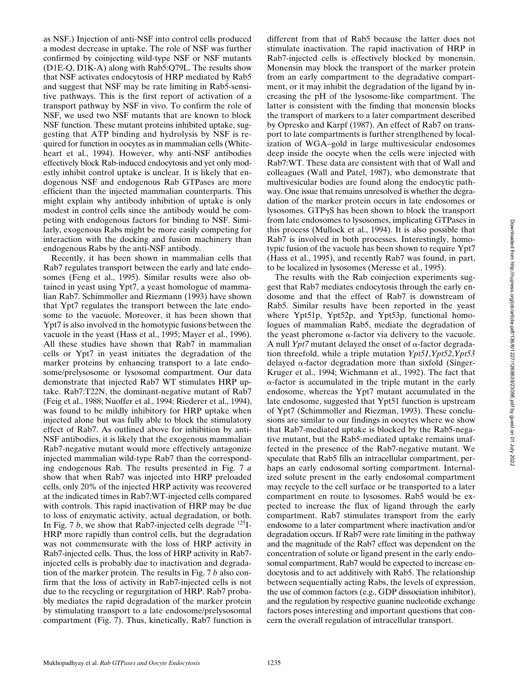as NSF.) Injection of anti-NSF into control cells produced a modest decrease in uptake. The role of NSF was further confirmed by coinjecting wild-type NSF or NSF mutants (D1E-Q, D1K-A) along with Rab5:Q79L. The results show that NSF activates endocytosis of HRP mediated by Rab5 and suggest that NSF may be rate limiting in Rab5-sensitive pathways. This is the first report of activation of a transport pathway by NSF in vivo. To confirm the role of NSF, we used two NSF mutants that are known to block NSF function. These mutant proteins inhibited uptake, suggesting that ATP binding and hydrolysis by NSF is required for function in oocytes as in mammalian cells (Whiteheart et al., 1994). However, why anti-NSF antibodies effectively block Rab-induced endocytosis and yet only modestly inhibit control uptake is unclear. It is likely that endogenous NSF and endogenous Rab GTPases are more efficient than the injected mammalian counterparts. This might explain why antibody inhibition of uptake is only modest in control cells since the antibody would be competing with endogenous factors for binding to NSF. Similarly, exogenous Rabs might be more easily competing for interaction with the docking and fusion machinery than endogenous Rabs by the anti-NSF antibody.

Recently, it has been shown in mammalian cells that Rab7 regulates transport between the early and late endosomes (Feng et al., 1995). Similar results were also obtained in yeast using Ypt7, a yeast homologue of mammalian Rab7. Schimmoller and Riezmann (1993) have shown that Ypt7 regulates the transport between the late endosome to the vacuole. Moreover, it has been shown that Ypt7 is also involved in the homotypic fusions between the vacuole in the yeast (Hass et al., 1995; Mayer et al., 1996). All these studies have shown that Rab7 in mammalian cells or Ypt7 in yeast initiates the degradation of the marker proteins by enhancing transport to a late endosome/prelysosome or lysosomal compartment. Our data demonstrate that injected Rab7 WT stimulates HRP uptake. Rab7:T22N, the dominant-negative mutant of Rab7 (Feig et al., 1988; Nuoffer et al., 1994; Riederer et al., 1994), was found to be mildly inhibitory for HRP uptake when injected alone but was fully able to block the stimulatory effect of Rab7. As outlined above for inhibition by anti-NSF antibodies, it is likely that the exogenous mammalian Rab7-negative mutant would more effectively antagonize injected mammalian wild-type Rab7 than the corresponding endogenous Rab. The results presented in Fig. 7 *a* show that when Rab7 was injected into HRP preloaded cells, only 20% of the injected HRP activity was recovered at the indicated times in Rab7:WT-injected cells compared with controls. This rapid inactivation of HRP may be due to loss of enzymatic activity, actual degradation, or both. In Fig. 7  $b$ , we show that Rab7-injected cells degrade  $^{125}I$ -HRP more rapidly than control cells, but the degradation was not commensurate with the loss of HRP activity in Rab7-injected cells. Thus, the loss of HRP activity in Rab7 injected cells is probably due to inactivation and degradation of the marker protein. The results in Fig. 7 *b* also confirm that the loss of activity in Rab7-injected cells is not due to the recycling or regurgitation of HRP. Rab7 probably mediates the rapid degradation of the marker protein by stimulating transport to a late endosome/prelysosomal compartment (Fig. 7). Thus, kinetically, Rab7 function is

different from that of Rab5 because the latter does not stimulate inactivation. The rapid inactivation of HRP in Rab7-injected cells is effectively blocked by monensin. Monensin may block the transport of the marker protein from an early compartment to the degradative compartment, or it may inhibit the degradation of the ligand by increasing the pH of the lysosome-like compartment. The latter is consistent with the finding that monensin blocks the transport of markers to a later compartment described by Opresko and Karpf (1987). An effect of Rab7 on transport to late compartments is further strengthened by localization of WGA–gold in large multivesicular endosomes deep inside the oocyte when the cells were injected with Rab7:WT. These data are consistent with that of Wall and colleagues (Wall and Patel, 1987), who demonstrate that multivesicular bodies are found along the endocytic pathway. One issue that remains unresolved is whether the degradation of the marker protein occurs in late endosomes or lysosomes. GTPgS has been shown to block the transport from late endosomes to lysosomes, implicating GTPases in this process (Mullock et al., 1994). It is also possible that Rab7 is involved in both processes. Interestingly, homotypic fusion of the vacuole has been shown to require Ypt7 (Hass et al., 1995), and recently Rab7 was found, in part, to be localized in lysosomes (Meresse et al., 1995).

The results with the Rab coinjection experiments suggest that Rab7 mediates endocytosis through the early endosome and that the effect of Rab7 is downstream of Rab5. Similar results have been reported in the yeast where Ypt51p, Ypt52p, and Ypt53p, functional homologues of mammalian Rab5, mediate the degradation of the yeast pheromone  $\alpha$ -factor via delivery to the vacuole. A null *Ypt7* mutant delayed the onset of  $\alpha$ -factor degradation threefold, while a triple mutation *Ypt51*,*Ypt52*,*Ypt53* delayed  $\alpha$ -factor degradation more than sixfold (Singer-Kruger et al., 1994; Wichmann et al., 1992). The fact that  $\alpha$ -factor is accumulated in the triple mutant in the early endosome, whereas the Ypt7 mutant accumulated in the late endosome, suggested that Ypt51 function is upstream of Ypt7 (Schimmoller and Riezman, 1993). These conclusions are similar to our findings in oocytes where we show that Rab7-mediated uptake is blocked by the Rab5-negative mutant, but the Rab5-mediated uptake remains unaffected in the presence of the Rab7-negative mutant. We speculate that Rab5 fills an intracellular compartment, perhaps an early endosomal sorting compartment. Internalized solute present in the early endosomal compartment may recycle to the cell surface or be transported to a later compartment en route to lysosomes. Rab5 would be expected to increase the flux of ligand through the early compartment. Rab7 stimulates transport from the early endosome to a later compartment where inactivation and/or degradation occurs. If Rab7 were rate limiting in the pathway and the magnitude of the Rab7 effect was dependent on the concentration of solute or ligand present in the early endosomal compartment, Rab7 would be expected to increase endocytosis and to act additively with Rab5. The relationship between sequentially acting Rabs, the levels of expression, the use of common factors (e.g., GDP dissociation inhibitor), and the regulation by respective guanine nucleotide exchange factors poses interesting and important questions that concern the overall regulation of intracellular transport.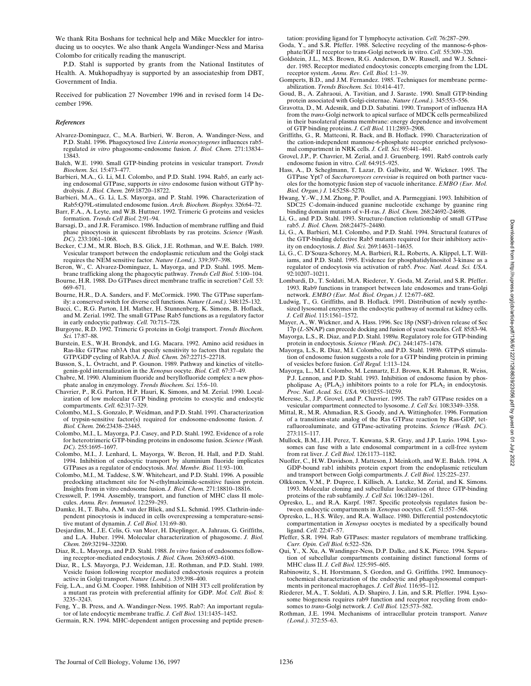We thank Rita Boshans for technical help and Mike Mueckler for introducing us to oocytes. We also thank Angela Wandinger-Ness and Marisa Colombo for critically reading the manuscript.

P.D. Stahl is supported by grants from the National Institutes of Health. A. Mukhopadhyay is supported by an associateship from DBT, Government of India.

Received for publication 27 November 1996 and in revised form 14 December 1996.

#### *References*

- Alvarez-Dominguez, C., M.A. Barbieri, W. Beron, A. Wandinger-Ness, and P.D. Stahl. 1996. Phagocytosed live *Listeria monocytogenes* influences rab5 regulated *in vitro* phagosome-endosome fusion. *J. Biol. Chem.* 271:13834– 13843.
- Balch, W.E. 1990. Small GTP-binding proteins in vesicular transport. *Trends Biochem. Sci.* 15:473–477.
- Barbieri, M.A., G. Li, M.I. Colombo, and P.D. Stahl. 1994. Rab5, an early acting endosomal GTPase, supports *in vitro* endosome fusion without GTP hydrolysis. *J. Biol. Chem.* 269:18720–18722.
- Barbieri, M.A., G. Li, L.S. Mayorga, and P. Stahl. 1996. Characterization of Rab5:Q79L-stimulated endosome fusion. *Arch. Biochem. Biophys.* 326:64–72.
- Barr, F.A., A. Leyte, and W.B. Huttner. 1992. Trimeric G proteins and vesicles formation. *Trends Cell Biol.* 2:91–94.
- Barsagi, D., and J.R. Feramisco. 1986. Induction of membrane ruffling and fluid phase pinocytosis in quiescent fibroblasts by ras proteins. *Science (Wash. DC).* 233:1061–1068.
- Becker, C.J.M., M.R. Bloch, B.S. Glick, J.E. Rothman, and W.E. Balch. 1989. Vesicular transport between the endoplasmic reticulum and the Golgi stack requires the NEM sensitive factor. *Nature (Lond.).* 339:397–398.
- Beron, W., C. Alvarez-Dominguez, L. Mayorga, and P.D. Stahl. 1995. Mem-
- brane trafficking along the phagocytic pathway. *Trends Cell Biol.* 5:100–104. Bourne, H.R. 1988. Do GTPases direct membrane traffic in secretion? *Cell.* 53: 669–671.
- Bourne, H.R., D.A. Sanders, and F. McCormick. 1990. The GTPase superfamily: a conserved switch for diverse cell functions. *Nature (Lond.).* 348:125–132.
- Bucci, C., R.G. Parton, I.H. Mather, H. Stunnenberg, K. Simons, B. Hoflack, and M. Zerial. 1992. The small GTPase Rab5 functions as a regulatory factor in early endocytic pathway. *Cell.* 70:715–728.
- Burgoyne, R.D. 1992. Trimeric G proteins in Golgi transport. *Trends Biochem. Sci.* 17:87–88.
- Burstein, E.S., W.H. Brondyk, and I.G. Macara. 1992. Amino acid residues in Ras-like GTPase rab3A that specify sensitivity to factors that regulate the GTP/GDP cycling of Rab3A. *J. Biol. Chem.* 267:22715–22718.
- Busson, S., L. Ovtracht, and P. Gounon. 1989. Pathway and kinetics of vitellogenin-gold internalization in the *Xenopus* oocyte. *Biol. Cell.* 67:37–49.
- Chabre, M. 1990. Aluminium fluoride and beryllofluoride complex: a new phosphate analog in enzymology. *Trends Biochem. Sci.* 15:6–10.
- Chavrier, P., R.G. Parton, H.P. Hauri, K. Simons, and M. Zerial. 1990. Localization of low molecular GTP binding proteins to exocytic and endocytic compartments. *Cell.* 62:317–329.
- Colombo, M.I., S. Gonzalo, P. Weidman, and P.D. Stahl. 1991. Characterization of trypsin-sensitive factor(s) required for endosome-endosome fusion. *J. Biol. Chem.* 266:23438–23445.
- Colombo, M.I., L. Mayorga, P.J. Casey, and P.D. Stahl. 1992. Evidence of a role for heterotrimeric GTP-binding proteins in endosome fusion. *Science (Wash. DC).* 255:1695–1697.
- Colombo, M.I., J. Lenhard, L. Mayorga, W. Beron, H. Hall, and P.D. Stahl. 1994. Inhibition of endocytic transport by aluminium fluoride implicates GTPases as a regulator of endocytosis. *Mol. Membr. Biol.* 11:93–100.
- Colombo, M.I., M. Taddese, S.W. Whiteheart, and P.D. Stahl. 1996. A possible predocking attachment site for N-ethylmaleimide-sensitive fusion protein. Insights from in vitro endosome fusion. *J. Biol. Chem.* 271:18810–18816.
- Cresswell, P. 1994. Assembly, transport, and function of MHC class II molecules. *Annu. Rev. Immunol.* 12:259–293.
- Damke, H., T. Baba, A.M. van der Bliek, and S.L. Schmid. 1995. Clathrin-independent pinocytosis is induced in cells overexpressing a temperature-sensitive mutant of dynamin. *J. Cell Biol.* 131:69–80.
- Desjardins, M., J.E. Celis, G. van Meer, H. Dieplinger, A. Jahraus, G. Griffiths, and L.A. Huber. 1994. Molecular characterization of phagosome. *J. Biol. Chem.* 269:32194–32200.
- Diaz, R., L. Mayorga, and P.D. Stahl. 1988. *In vitro* fusion of endosomes following receptor-mediated endocytosis. *J. Biol. Chem.* 263:6093–6100.
- Diaz, R., L.S. Mayorga, P.J. Weideman, J.E. Rothman, and P.D. Stahl. 1989. Vesicle fusion following receptor mediated endocytosis requires a protein active in Golgi transport. *Nature (Lond.).* 339:398–400.
- Feig, L.A., and G.M. Cooper. 1988. Inhibition of NIH 3T3 cell proliferation by a mutant ras protein with preferential affinity for GDP. *Mol. Cell. Biol.* 8: 3235–3243.
- Feng, Y., B. Press, and A. Wandinger-Ness. 1995. Rab7: An important regulator of late endocytic membrane traffic. *J. Cell Biol.* 131:1435–1452.
- Germain, R.N. 1994. MHC-dependent antigen processing and peptide presen-

tation: providing ligand for T lymphocyte activation. *Cell.* 76:287–299.

- Goda, Y., and S.R. Pfeffer. 1988. Selective recycling of the mannose-6-phosphate/IGF II receptor to trans-Golgi network in vitro. *Cell.* 55:309–320.
- Goldstein, J.L., M.S. Brown, R.G. Anderson, D.W. Russell, and W.J. Schneider. 1985. Receptor mediated endocytosis: concepts emerging from the LDL receptor system. *Annu. Rev. Cell. Biol.* 1:1–39.
- Gomperts, B.D., and J.M. Fernandez. 1985. Techniques for membrane permeabilization. *Trends Biochem. Sci.* 10:414–417.
- Goud, B., A. Zahraoui, A. Tavitian, and J. Saraste. 1990. Small GTP-binding protein associated with Golgi-cisternae. *Nature (Lond.).* 345:553–556.
- Gravotta, D., M. Adesnik, and D.D. Sabatini. 1990. Transport of influenza HA from the *trans*-Golgi network to apical surface of MDCK cells permeabilized in their basolateral plasma membrane: energy dependence and involvement of GTP binding proteins. *J. Cell Biol.* 111:2893–2908.
- Griffiths, G., R. Matteoni, R. Back, and B. Hoflack. 1990. Characterization of the cation-independent mannose-6-phosphate receptor enriched prelysosomal compartment in NRK cells. *J. Cell. Sci.* 95:441–461.
- Grovel, J.P., P. Chavrier, M. Zerial, and J. Gruenberg. 1991. Rab5 controls early endosome fusion in vitro. *Cell.* 64:915–925.
- Hass, A., D. Scheglmann, T. Lazar, D. Gallwitz, and W. Wickner. 1995. The GTPase Ypt7 of *Saccharomyces cerevisiae* is required on both partner vacuoles for the homotypic fusion step of vacuole inheritance. *EMBO (Eur. Mol. Biol. Organ.) J.* 14:5258–5270.
- Hwang, Y.-W., J.M. Zhong, P. Poullet, and A. Parmeggiani. 1993. Inhibition of SDC25 C-domain-induced guanine nucleotide exchange by guanine ring binding domain mutants of v-H-ras. *J. Biol. Chem.* 268:24692–24698.
- Li, G., and P.D. Stahl. 1993. Structure-function relationship of small GTPase rab5. *J. Biol. Chem.* 268:24475–24480.
- Li, G., A. Barbieri, M.I. Colombo, and P.D. Stahl. 1994. Structural features of the GTP-binding defective Rab5 mutants required for their inhibitory activity on endocytosis. *J. Biol. Sci.* 269:14631–14635.
- Li, G., C. D'Souza-Schorey, M.A. Barbieri, R.L. Roberts, A. Klippel, L.T. Williams, and P.D. Stahl. 1995. Evidence for phosphatidylinositol 3-kinase as a regulator of endocytosis via activation of rab5. *Proc. Natl. Acad. Sci. USA.* 92:10207–10211.
- Lombardi, D., T. Soldati, M.A. Riederer, Y. Goda, M. Zerial, and S.R. Pfeffer. 1993. Rab9 functions in transport between late endosomes and trans-Golgi network. *EMBO (Eur. Mol. Biol. Organ.) J.* 12:677–682.
- Ludwig, T., G. Griffiths, and B. Hoflack. 1991. Distribution of newly synthesized lysosomal enzymes in the endocytic pathway of normal rat kidney cells. *J. Cell Biol.* 115:1561–1572.
- Mayer, A., W. Wickner, and A. Hass. 1996. Sec 18p (NSF)-driven release of Sec 17p (*L*-SNAP) can precede docking and fusion of yeast vacuoles. *Cell.* 85:83–94.
- Mayorga, L.S., R. Diaz, and P.D. Stahl. 1989*a.* Regulatory role for GTP-binding protein in endocytosis. *Science (Wash. DC).* 244:1475–1478.
- Mayorga, L.S., R. Diaz, M.I. Colombo, and P.D. Stahl. 1989*b*. GTP<sub>Y</sub>S stimulation of endosome fusion suggests a role for a GTP binding protein in priming of vesicles before fusion. *Cell Regul.* 1:113–124.
- Mayorga, L., M.I. Colombo, M. Lennartz, E.J. Brown, K.H. Rahman, R. Weiss, P.J. Lennon, and P.D. Stahl. 1993. Inhibition of endosome fusion by phospholipase A<sub>2</sub> (PLA<sub>2</sub>) inhibitors points to a role for PLA<sub>2</sub> in endocytosis.<br>*Proc. Natl. Acad. Sci. USA.* 90:10255–10259.
- Meresse, S., J.P. Grovel, and P. Chavrier. 1995. The rab7 GTPase resides on a vesicular compartment connected to lysosome. *J. Cell Sci.* 108:3349–3358.
- Mittal, R., M.R. Ahmadian, R.S. Goody, and A. Wittinghofer. 1996. Formation of a transition-state analog of the Ras GTPase reaction by Ras-GDP, tetrafluoroaluminate, and GTPase-activating proteins. *Science (Wash. DC).* 273:115–117.
- Mullock, B.M., J.H. Perez, T. Kuwana, S.R. Gray, and J.P. Luzio. 1994. Lysosomes can fuse with a late endosomal compartment in a cell-free system from rat liver. *J. Cell Biol.* 126:1173–1182.
- Nuoffer, C., H.W. Davidson, J. Matteson, J. Meinkoth, and W.E. Balch. 1994. A GDP-bound rab1 inhibits protein export from the endoplasmic reticulum and transport between Golgi compartments. *J. Cell Biol.* 125:225–237.
- Olkkonen, V.M., P. Dupree, I. Killisch, A. Lutcke, M. Zerial, and K. Simons. 1993. Molecular cloning and subcellular localization of three GTP-binding proteins of the rab subfamily. *J. Cell Sci.* 106:1249–1261.
- Opresko, L., and R.A. Karpf. 1987. Specific proteolysis regulates fusion between endocytic compartments in *Xenopus* oocytes. *Cell.* 51:557–568.
- Opresko, L., H.S. Wiley, and R.A. Wallace. 1980. Differential postendocytotic compartmentation in *Xenopus* oocytes is mediated by a specifically bound ligand. *Cell.* 22:47–57.
- Pfeffer, S.R. 1994. Rab GTPases: master regulators of membrane trafficking. *Curr. Opin. Cell Biol.* 6:522–526.
- Qui, Y., X. Xu, A. Wandinger-Ness, D.P. Dalke, and S.K. Pierce. 1994. Separation of subcellular compartments containing distinct functional forms of MHC class II. *J. Cell Biol.* 125:595–605.
- Rabinowitz, S., H. Horstmann, S. Gordon, and G. Griffiths. 1992. Immunocytochemical characterization of the endocytic and phagolysosomal compartments in peritoneal macrophages. *J. Cell Biol.* 116:95–112.
- Riederer, M.A., T. Soldati, A.D. Shapiro, J. Lin, and S.R. Pfeffer. 1994. Lysosome biogenesis requires rab9 function and receptor recycling from endosomes to *trans*-Golgi network. *J. Cell Biol.* 125:573–582.
- Rothman, J.E. 1994. Mechanisms of intracellular protein transport. *Nature (Lond.).* 372:55–63.